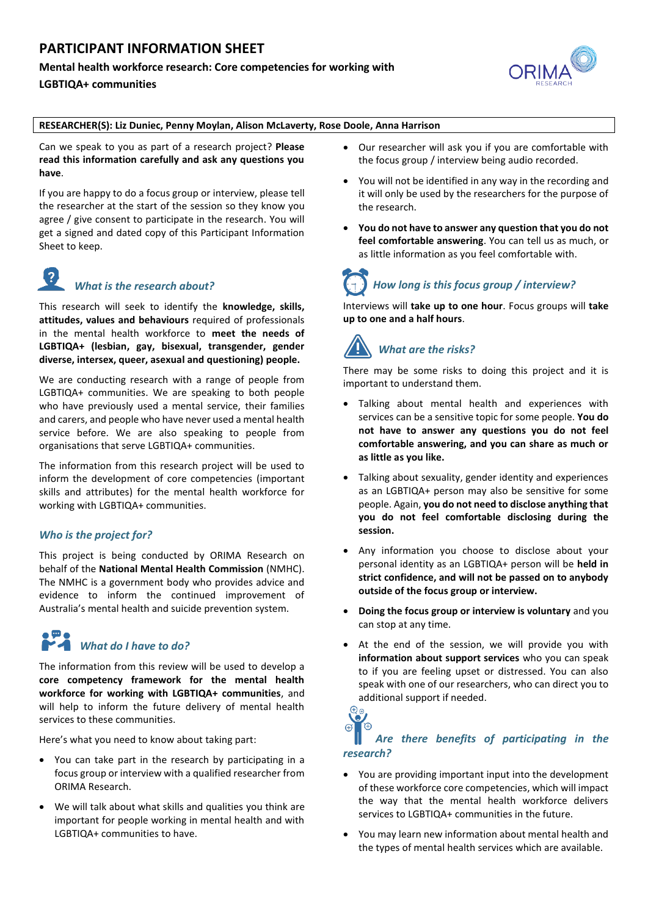# **PARTICIPANT INFORMATION SHEET**

### **Mental health workforce research: Core competencies for working with**

**LGBTIQA+ communities**



#### **RESEARCHER(S): Liz Duniec, Penny Moylan, Alison McLaverty, Rose Doole, Anna Harrison**

Can we speak to you as part of a research project? **Please read this information carefully and ask any questions you have**.

If you are happy to do a focus group or interview, please tell the researcher at the start of the session so they know you agree / give consent to participate in the research. You will get a signed and dated copy of this Participant Information Sheet to keep.

# *What is the research about?*

This research will seek to identify the **knowledge, skills, attitudes, values and behaviours** required of professionals in the mental health workforce to **meet the needs of LGBTIQA+ (lesbian, gay, bisexual, transgender, gender diverse, intersex, queer, asexual and questioning) people.**

We are conducting research with a range of people from LGBTIQA+ communities. We are speaking to both people who have previously used a mental service, their families and carers, and people who have never used a mental health service before. We are also speaking to people from organisations that serve LGBTIQA+ communities.

The information from this research project will be used to inform the development of core competencies (important skills and attributes) for the mental health workforce for working with LGBTIQA+ communities.

# *Who is the project for?*

This project is being conducted by ORIMA Research on behalf of the **National Mental Health Commission** (NMHC). The NMHC is a government body who provides advice and evidence to inform the continued improvement of Australia's mental health and suicide prevention system.

# *What do I have to do?*

The information from this review will be used to develop a **core competency framework for the mental health workforce for working with LGBTIQA+ communities**, and will help to inform the future delivery of mental health services to these communities.

Here's what you need to know about taking part:

- You can take part in the research by participating in a focus group or interview with a qualified researcher from ORIMA Research.
- We will talk about what skills and qualities you think are important for people working in mental health and with LGBTIQA+ communities to have.
- Our researcher will ask you if you are comfortable with the focus group / interview being audio recorded.
- You will not be identified in any way in the recording and it will only be used by the researchers for the purpose of the research.
- **You do not have to answer any question that you do not feel comfortable answering**. You can tell us as much, or as little information as you feel comfortable with.

# *How long is this focus group / interview?*

Interviews will **take up to one hour**. Focus groups will **take up to one and a half hours**.

# *What are the risks?*

There may be some risks to doing this project and it is important to understand them.

- Talking about mental health and experiences with services can be a sensitive topic for some people. **You do not have to answer any questions you do not feel comfortable answering, and you can share as much or as little as you like.**
- Talking about sexuality, gender identity and experiences as an LGBTIQA+ person may also be sensitive for some people. Again, **you do not need to disclose anything that you do not feel comfortable disclosing during the session.**
- Any information you choose to disclose about your personal identity as an LGBTIQA+ person will be **held in strict confidence, and will not be passed on to anybody outside of the focus group or interview.**
- **Doing the focus group or interview is voluntary** and you can stop at any time.
- At the end of the session, we will provide you with **information about support services** who you can speak to if you are feeling upset or distressed. You can also speak with one of our researchers, who can direct you to additional support if needed.<br> $\bigoplus_{\Theta}$

#### **A**  $\triangle$  *Are there benefits of participating in the research?*

- You are providing important input into the development of these workforce core competencies, which will impact the way that the mental health workforce delivers services to LGBTIQA+ communities in the future.
- You may learn new information about mental health and the types of mental health services which are available.